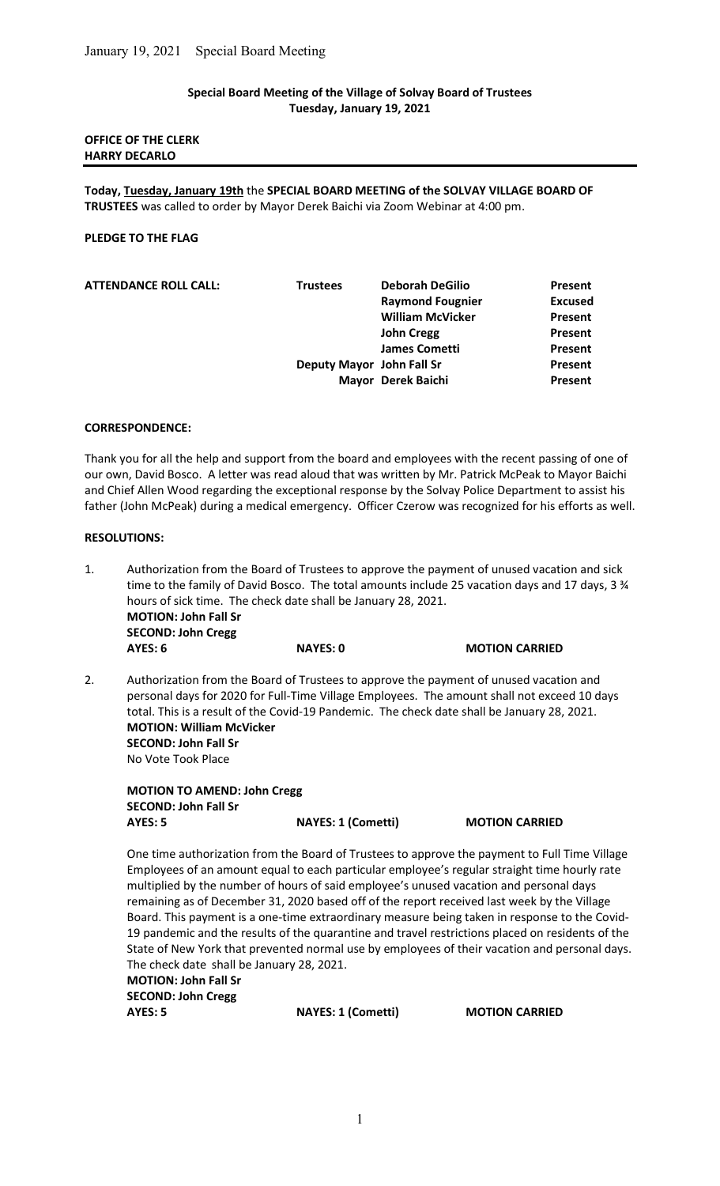## Special Board Meeting of the Village of Solvay Board of Trustees Tuesday, January 19, 2021

## OFFICE OF THE CLERK HARRY DECARLO

Today, Tuesday, January 19th the SPECIAL BOARD MEETING of the SOLVAY VILLAGE BOARD OF TRUSTEES was called to order by Mayor Derek Baichi via Zoom Webinar at 4:00 pm.

## PLEDGE TO THE FLAG

| <b>Trustees</b> | <b>Deborah DeGilio</b>  | Present                                         |
|-----------------|-------------------------|-------------------------------------------------|
|                 | <b>Raymond Fougnier</b> | <b>Excused</b>                                  |
|                 | <b>William McVicker</b> | Present                                         |
|                 | <b>John Cregg</b>       | Present                                         |
|                 | <b>James Cometti</b>    | Present                                         |
|                 |                         | Present                                         |
|                 |                         | Present                                         |
|                 |                         | Deputy Mayor John Fall Sr<br>Mayor Derek Baichi |

#### CORRESPONDENCE:

Thank you for all the help and support from the board and employees with the recent passing of one of our own, David Bosco. A letter was read aloud that was written by Mr. Patrick McPeak to Mayor Baichi and Chief Allen Wood regarding the exceptional response by the Solvay Police Department to assist his father (John McPeak) during a medical emergency. Officer Czerow was recognized for his efforts as well.

## RESOLUTIONS:

- 1. Authorization from the Board of Trustees to approve the payment of unused vacation and sick time to the family of David Bosco. The total amounts include 25 vacation days and 17 days, 3  $\frac{3}{4}$  hours of sick time. The check date shall be January 28, 2021. MOTION: John Fall Sr SECOND: John Cregg AYES: 6 NAYES: 0 MOTION CARRIED
- 2. Authorization from the Board of Trustees to approve the payment of unused vacation and personal days for 2020 for Full-Time Village Employees. The amount shall not exceed 10 days total. This is a result of the Covid-19 Pandemic. The check date shall be January 28, 2021. MOTION: William McVicker SECOND: John Fall Sr No Vote Took Place

 MOTION TO AMEND: John Cregg SECOND: John Fall Sr AYES: 5 NAYES: 1 (Cometti) MOTION CARRIED

One time authorization from the Board of Trustees to approve the payment to Full Time Village Employees of an amount equal to each particular employee's regular straight time hourly rate multiplied by the number of hours of said employee's unused vacation and personal days remaining as of December 31, 2020 based off of the report received last week by the Village Board. This payment is a one-time extraordinary measure being taken in response to the Covid-19 pandemic and the results of the quarantine and travel restrictions placed on residents of the State of New York that prevented normal use by employees of their vacation and personal days. The check date shall be January 28, 2021.

MOTION: John Fall Sr SECOND: John Cregg

AYES: 5 NAYES: 1 (Cometti) MOTION CARRIED